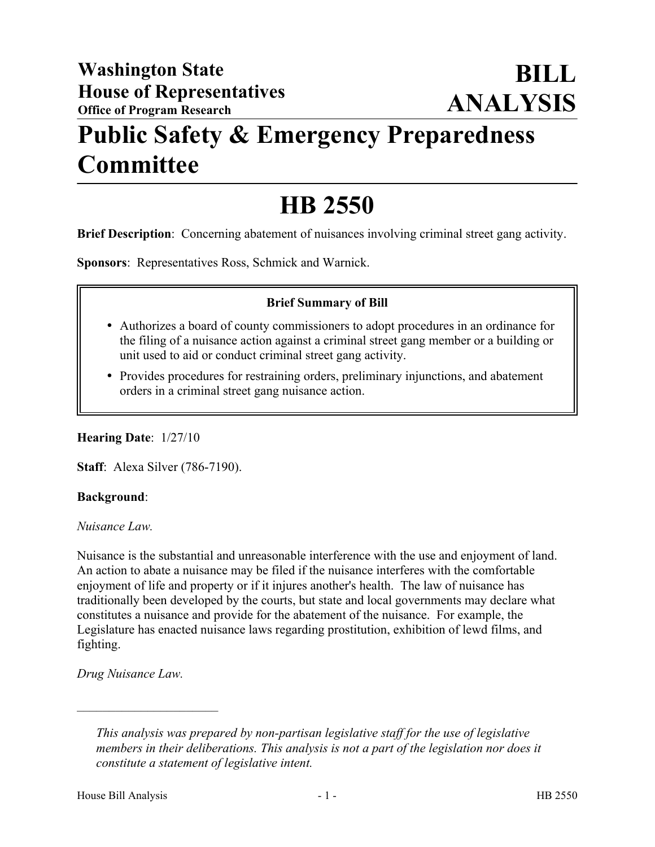## **Public Safety & Emergency Preparedness Committee**

# **HB 2550**

**Brief Description**: Concerning abatement of nuisances involving criminal street gang activity.

**Sponsors**: Representatives Ross, Schmick and Warnick.

#### **Brief Summary of Bill**

- Authorizes a board of county commissioners to adopt procedures in an ordinance for the filing of a nuisance action against a criminal street gang member or a building or unit used to aid or conduct criminal street gang activity.
- Provides procedures for restraining orders, preliminary injunctions, and abatement orders in a criminal street gang nuisance action.

**Hearing Date**: 1/27/10

**Staff**: Alexa Silver (786-7190).

#### **Background**:

*Nuisance Law.* 

Nuisance is the substantial and unreasonable interference with the use and enjoyment of land. An action to abate a nuisance may be filed if the nuisance interferes with the comfortable enjoyment of life and property or if it injures another's health. The law of nuisance has traditionally been developed by the courts, but state and local governments may declare what constitutes a nuisance and provide for the abatement of the nuisance. For example, the Legislature has enacted nuisance laws regarding prostitution, exhibition of lewd films, and fighting.

*Drug Nuisance Law.*

––––––––––––––––––––––

*This analysis was prepared by non-partisan legislative staff for the use of legislative members in their deliberations. This analysis is not a part of the legislation nor does it constitute a statement of legislative intent.*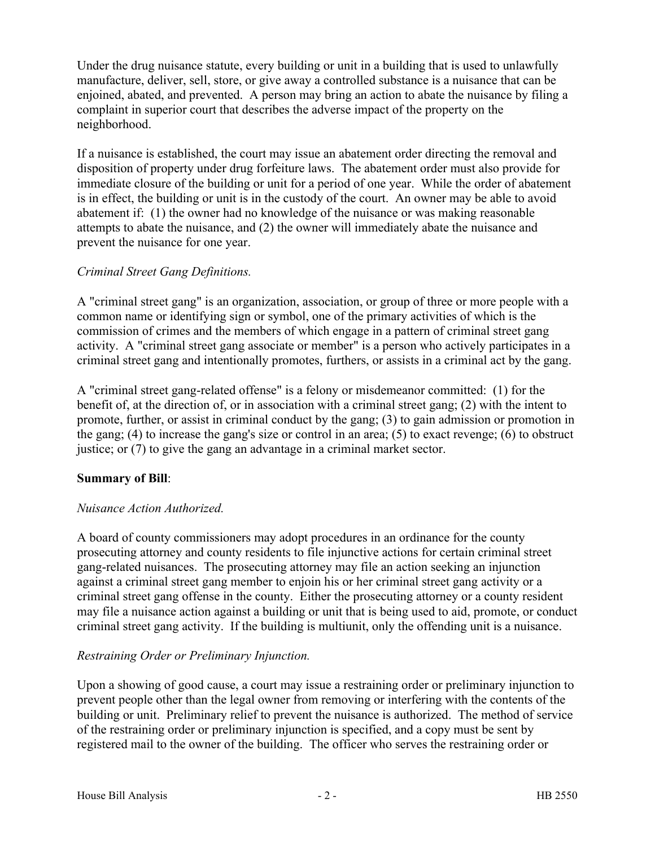Under the drug nuisance statute, every building or unit in a building that is used to unlawfully manufacture, deliver, sell, store, or give away a controlled substance is a nuisance that can be enjoined, abated, and prevented. A person may bring an action to abate the nuisance by filing a complaint in superior court that describes the adverse impact of the property on the neighborhood.

If a nuisance is established, the court may issue an abatement order directing the removal and disposition of property under drug forfeiture laws. The abatement order must also provide for immediate closure of the building or unit for a period of one year. While the order of abatement is in effect, the building or unit is in the custody of the court. An owner may be able to avoid abatement if: (1) the owner had no knowledge of the nuisance or was making reasonable attempts to abate the nuisance, and (2) the owner will immediately abate the nuisance and prevent the nuisance for one year.

## *Criminal Street Gang Definitions.*

A "criminal street gang" is an organization, association, or group of three or more people with a common name or identifying sign or symbol, one of the primary activities of which is the commission of crimes and the members of which engage in a pattern of criminal street gang activity. A "criminal street gang associate or member" is a person who actively participates in a criminal street gang and intentionally promotes, furthers, or assists in a criminal act by the gang.

A "criminal street gang-related offense" is a felony or misdemeanor committed: (1) for the benefit of, at the direction of, or in association with a criminal street gang; (2) with the intent to promote, further, or assist in criminal conduct by the gang; (3) to gain admission or promotion in the gang; (4) to increase the gang's size or control in an area; (5) to exact revenge; (6) to obstruct justice; or (7) to give the gang an advantage in a criminal market sector.

## **Summary of Bill**:

## *Nuisance Action Authorized.*

A board of county commissioners may adopt procedures in an ordinance for the county prosecuting attorney and county residents to file injunctive actions for certain criminal street gang-related nuisances. The prosecuting attorney may file an action seeking an injunction against a criminal street gang member to enjoin his or her criminal street gang activity or a criminal street gang offense in the county. Either the prosecuting attorney or a county resident may file a nuisance action against a building or unit that is being used to aid, promote, or conduct criminal street gang activity. If the building is multiunit, only the offending unit is a nuisance.

## *Restraining Order or Preliminary Injunction.*

Upon a showing of good cause, a court may issue a restraining order or preliminary injunction to prevent people other than the legal owner from removing or interfering with the contents of the building or unit. Preliminary relief to prevent the nuisance is authorized. The method of service of the restraining order or preliminary injunction is specified, and a copy must be sent by registered mail to the owner of the building. The officer who serves the restraining order or